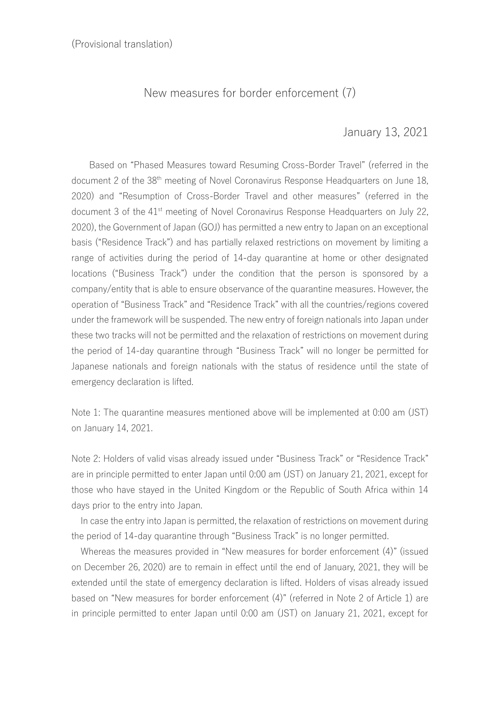## New measures for border enforcement (7)

## January 13, 2021

Based on "Phased Measures toward Resuming Cross-Border Travel" (referred in the document 2 of the 38<sup>th</sup> meeting of Novel Coronavirus Response Headquarters on June 18, 2020) and "Resumption of Cross-Border Travel and other measures" (referred in the document 3 of the 41<sup>st</sup> meeting of Novel Coronavirus Response Headquarters on July 22, 2020), the Government of Japan (GOJ) has permitted a new entry to Japan on an exceptional basis ("Residence Track") and has partially relaxed restrictions on movement by limiting a range of activities during the period of 14-day quarantine at home or other designated locations ("Business Track") under the condition that the person is sponsored by a company/entity that is able to ensure observance of the quarantine measures. However, the operation of "Business Track" and "Residence Track" with all the countries/regions covered under the framework will be suspended. The new entry of foreign nationals into Japan under these two tracks will not be permitted and the relaxation of restrictions on movement during the period of 14-day quarantine through "Business Track" will no longer be permitted for Japanese nationals and foreign nationals with the status of residence until the state of emergency declaration is lifted.

Note 1: The quarantine measures mentioned above will be implemented at 0:00 am (JST) on January 14, 2021.

Note 2: Holders of valid visas already issued under "Business Track" or "Residence Track" are in principle permitted to enter Japan until 0:00 am (JST) on January 21, 2021, except for those who have stayed in the United Kingdom or the Republic of South Africa within 14 days prior to the entry into Japan.

 In case the entry into Japan is permitted, the relaxation of restrictions on movement during the period of 14-day quarantine through "Business Track" is no longer permitted.

 Whereas the measures provided in "New measures for border enforcement (4)" (issued on December 26, 2020) are to remain in effect until the end of January, 2021, they will be extended until the state of emergency declaration is lifted. Holders of visas already issued based on "New measures for border enforcement (4)" (referred in Note 2 of Article 1) are in principle permitted to enter Japan until 0:00 am (JST) on January 21, 2021, except for